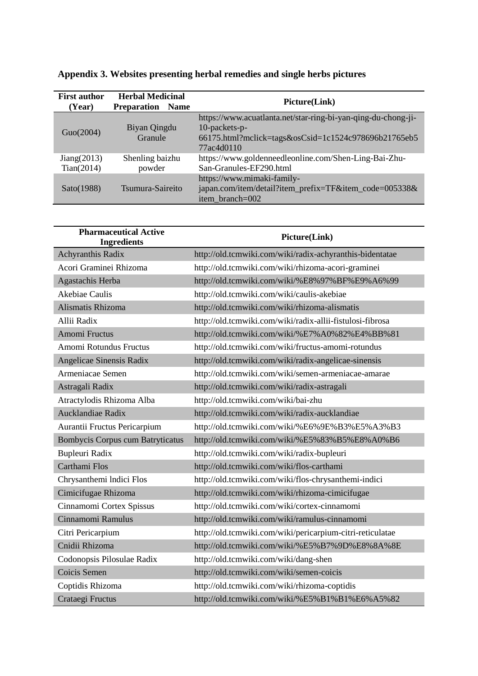| <b>First author</b><br>(Year) | <b>Herbal Medicinal</b><br><b>Preparation</b><br><b>Name</b> | Picture(Link)                                                                                                                                        |
|-------------------------------|--------------------------------------------------------------|------------------------------------------------------------------------------------------------------------------------------------------------------|
| Guo(2004)                     | Biyan Qingdu<br>Granule                                      | https://www.acuatlanta.net/star-ring-bi-yan-qing-du-chong-ji-<br>10-packets-p-<br>66175.html?mclick=tags&osCsid=1c1524c978696b21765eb5<br>77ac4d0110 |
| Jiang(2013)<br>Tian(2014)     | Shenling baizhu<br>powder                                    | https://www.goldenneedleonline.com/Shen-Ling-Bai-Zhu-<br>San-Granules-EF290.html                                                                     |
| Sato(1988)                    | Tsumura-Saireito                                             | https://www.mimaki-family-<br>japan.com/item/detail?item_prefix=TF&item_code=005338&<br>item branch=002                                              |

**Appendix 3. Websites presenting herbal remedies and single herbs pictures**

| <b>Pharmaceutical Active</b><br><b>Ingredients</b> | Picture(Link)                                             |
|----------------------------------------------------|-----------------------------------------------------------|
| Achyranthis Radix                                  | http://old.tcmwiki.com/wiki/radix-achyranthis-bidentatae  |
| Acori Graminei Rhizoma                             | http://old.tcmwiki.com/wiki/rhizoma-acori-graminei        |
| Agastachis Herba                                   | http://old.tcmwiki.com/wiki/%E8%97%BF%E9%A6%99            |
| <b>Akebiae Caulis</b>                              | http://old.tcmwiki.com/wiki/caulis-akebiae                |
| Alismatis Rhizoma                                  | http://old.tcmwiki.com/wiki/rhizoma-alismatis             |
| Allii Radix                                        | http://old.tcmwiki.com/wiki/radix-allii-fistulosi-fibrosa |
| <b>Amomi Fructus</b>                               | http://old.tcmwiki.com/wiki/%E7%A0%82%E4%BB%81            |
| Amomi Rotundus Fructus                             | http://old.tcmwiki.com/wiki/fructus-amomi-rotundus        |
| Angelicae Sinensis Radix                           | http://old.tcmwiki.com/wiki/radix-angelicae-sinensis      |
| Armeniacae Semen                                   | http://old.tcmwiki.com/wiki/semen-armeniacae-amarae       |
| Astragali Radix                                    | http://old.tcmwiki.com/wiki/radix-astragali               |
| Atractylodis Rhizoma Alba                          | http://old.tcmwiki.com/wiki/bai-zhu                       |
| Aucklandiae Radix                                  | http://old.tcmwiki.com/wiki/radix-aucklandiae             |
| Aurantii Fructus Pericarpium                       | http://old.tcmwiki.com/wiki/%E6%9E%B3%E5%A3%B3            |
| <b>Bombycis Corpus cum Batryticatus</b>            | http://old.tcmwiki.com/wiki/%E5%83%B5%E8%A0%B6            |
| Bupleuri Radix                                     | http://old.tcmwiki.com/wiki/radix-bupleuri                |
| Carthami Flos                                      | http://old.tcmwiki.com/wiki/flos-carthami                 |
| Chrysanthemi Indici Flos                           | http://old.tcmwiki.com/wiki/flos-chrysanthemi-indici      |
| Cimicifugae Rhizoma                                | http://old.tcmwiki.com/wiki/rhizoma-cimicifugae           |
| Cinnamomi Cortex Spissus                           | http://old.tcmwiki.com/wiki/cortex-cinnamomi              |
| Cinnamomi Ramulus                                  | http://old.tcmwiki.com/wiki/ramulus-cinnamomi             |
| Citri Pericarpium                                  | http://old.tcmwiki.com/wiki/pericarpium-citri-reticulatae |
| Cnidii Rhizoma                                     | http://old.tcmwiki.com/wiki/%E5%B7%9D%E8%8A%8E            |
| Codonopsis Pilosulae Radix                         | http://old.tcmwiki.com/wiki/dang-shen                     |
| Coicis Semen                                       | http://old.tcmwiki.com/wiki/semen-coicis                  |
| Coptidis Rhizoma                                   | http://old.tcmwiki.com/wiki/rhizoma-coptidis              |
| Crataegi Fructus                                   | http://old.tcmwiki.com/wiki/%E5%B1%B1%E6%A5%82            |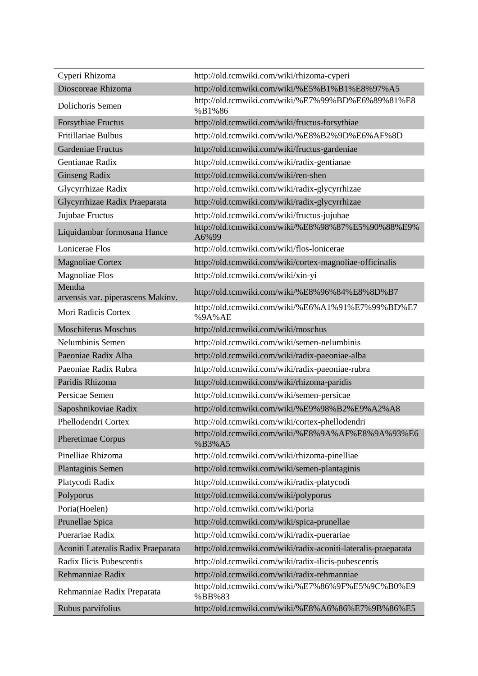| Cyperi Rhizoma                              | http://old.tcmwiki.com/wiki/rhizoma-cyperi                     |
|---------------------------------------------|----------------------------------------------------------------|
| Dioscoreae Rhizoma                          | http://old.tcmwiki.com/wiki/%E5%B1%B1%E8%97%A5                 |
| Dolichoris Semen                            | http://old.tcmwiki.com/wiki/%E7%99%BD%E6%89%81%E8<br>%B1%86    |
| <b>Forsythiae Fructus</b>                   | http://old.tcmwiki.com/wiki/fructus-forsythiae                 |
| <b>Fritillariae Bulbus</b>                  | http://old.tcmwiki.com/wiki/%E8%B2%9D%E6%AF%8D                 |
| Gardeniae Fructus                           | http://old.tcmwiki.com/wiki/fructus-gardeniae                  |
| Gentianae Radix                             | http://old.tcmwiki.com/wiki/radix-gentianae                    |
| <b>Ginseng Radix</b>                        | http://old.tcmwiki.com/wiki/ren-shen                           |
| Glycyrrhizae Radix                          | http://old.tcmwiki.com/wiki/radix-glycyrrhizae                 |
| Glycyrrhizae Radix Praeparata               | http://old.tcmwiki.com/wiki/radix-glycyrrhizae                 |
| Jujubae Fructus                             | http://old.tcmwiki.com/wiki/fructus-jujubae                    |
| Liquidambar formosana Hance                 | http://old.tcmwiki.com/wiki/%E8%98%87%E5%90%88%E9%<br>A6%99    |
| Lonicerae Flos                              | http://old.tcmwiki.com/wiki/flos-lonicerae                     |
| <b>Magnoliae Cortex</b>                     | http://old.tcmwiki.com/wiki/cortex-magnoliae-officinalis       |
| <b>Magnoliae Flos</b>                       | http://old.tcmwiki.com/wiki/xin-yi                             |
| Mentha<br>arvensis var. piperascens Makinv. | http://old.tcmwiki.com/wiki/%E8%96%84%E8%8D%B7                 |
| Mori Radicis Cortex                         | http://old.tcmwiki.com/wiki/%E6%A1%91%E7%99%BD%E7<br>%9A%AE    |
| <b>Moschiferus Moschus</b>                  | http://old.tcmwiki.com/wiki/moschus                            |
| Nelumbinis Semen                            | http://old.tcmwiki.com/wiki/semen-nelumbinis                   |
| Paeoniae Radix Alba                         | http://old.tcmwiki.com/wiki/radix-paeoniae-alba                |
| Paeoniae Radix Rubra                        | http://old.tcmwiki.com/wiki/radix-paeoniae-rubra               |
| Paridis Rhizoma                             | http://old.tcmwiki.com/wiki/rhizoma-paridis                    |
| Persicae Semen                              | http://old.tcmwiki.com/wiki/semen-persicae                     |
| Saposhnikoviae Radix                        | http://old.tcmwiki.com/wiki/%E9%98%B2%E9%A2%A8                 |
| Phellodendri Cortex                         | http://old.tcmwiki.com/wiki/cortex-phellodendri                |
| Pheretimae Corpus                           | http://old.tcmwiki.com/wiki/%E8%9A%AF%E8%9A%93%E6<br>%B3%A5    |
| Pinelliae Rhizoma                           | http://old.tcmwiki.com/wiki/rhizoma-pinelliae                  |
| Plantaginis Semen                           | http://old.tcmwiki.com/wiki/semen-plantaginis                  |
| Platycodi Radix                             | http://old.tcmwiki.com/wiki/radix-platycodi                    |
| Polyporus                                   | http://old.tcmwiki.com/wiki/polyporus                          |
| Poria(Hoelen)                               | http://old.tcmwiki.com/wiki/poria                              |
| Prunellae Spica                             | http://old.tcmwiki.com/wiki/spica-prunellae                    |
| Puerariae Radix                             | http://old.tcmwiki.com/wiki/radix-puerariae                    |
| Aconiti Lateralis Radix Praeparata          | http://old.tcmwiki.com/wiki/radix-aconiti-lateralis-praeparata |
| Radix Ilicis Pubescentis                    | http://old.tcmwiki.com/wiki/radix-ilicis-pubescentis           |
| Rehmanniae Radix                            | http://old.tcmwiki.com/wiki/radix-rehmanniae                   |
| Rehmanniae Radix Preparata                  | http://old.tcmwiki.com/wiki/%E7%86%9F%E5%9C%B0%E9<br>%BB%83    |
| Rubus parvifolius                           | http://old.tcmwiki.com/wiki/%E8%A6%86%E7%9B%86%E5              |